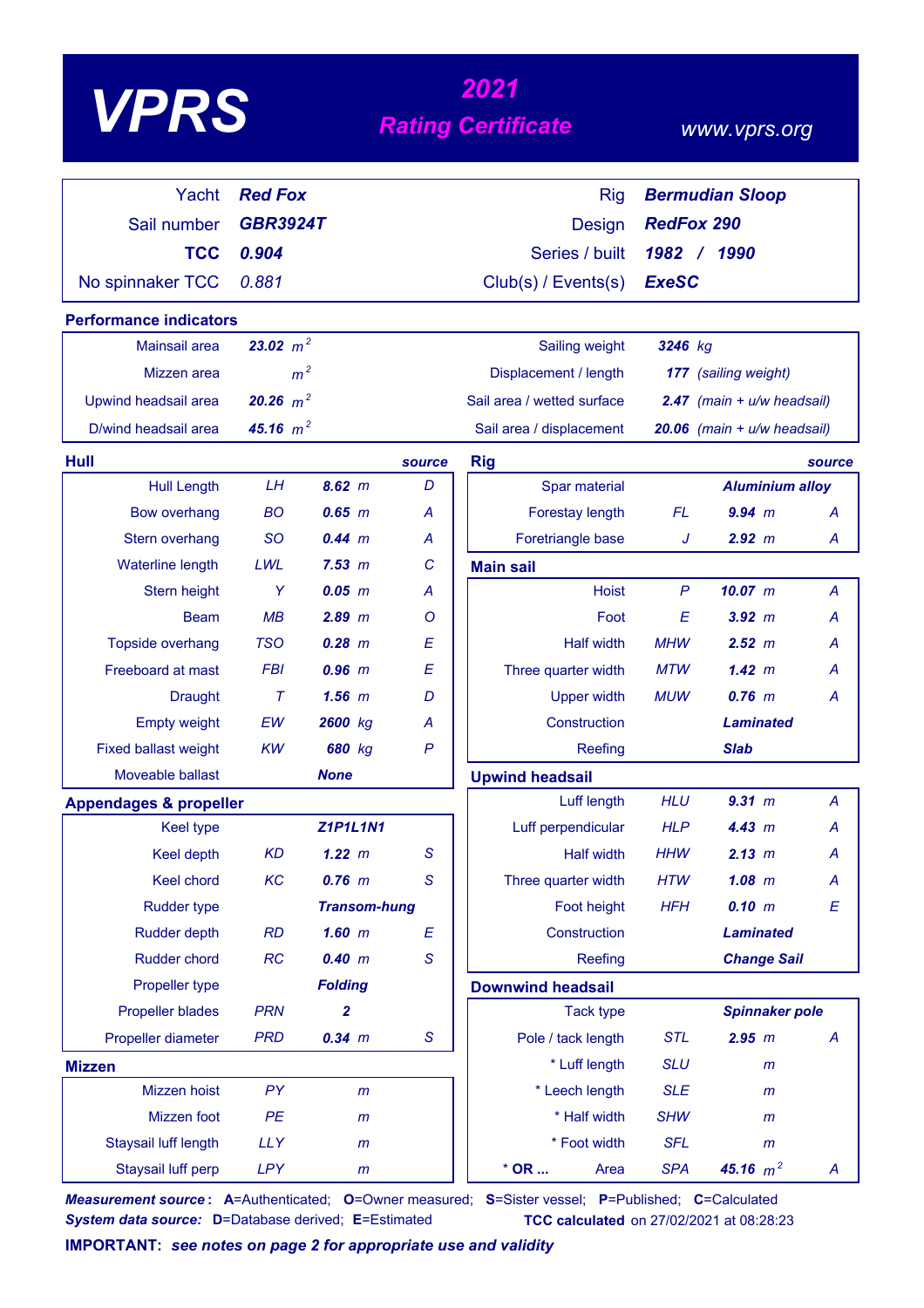# *<sup>2021</sup> VPRS Rating Certificate*

### *www.vprs.org*

| Yacht                                        | <b>Red Fox</b>  |                      |              | <b>Bermudian Sloop</b><br><b>Rig</b> |                   |                                 |                  |
|----------------------------------------------|-----------------|----------------------|--------------|--------------------------------------|-------------------|---------------------------------|------------------|
| Sail number                                  | <b>GBR3924T</b> |                      |              | <b>Design</b>                        | <b>RedFox 290</b> |                                 |                  |
| <b>TCC</b>                                   | 0.904           |                      |              | Series / built                       |                   | 1982 / 1990                     |                  |
| No spinnaker TCC                             | 0.881           |                      |              | Club(s) / Events(s)                  | <b>ExeSC</b>      |                                 |                  |
| <b>Performance indicators</b>                |                 |                      |              |                                      |                   |                                 |                  |
| Mainsail area                                | 23.02 $m^2$     |                      |              | Sailing weight                       | 3246 kg           |                                 |                  |
| Mizzen area                                  | m <sup>2</sup>  |                      |              | Displacement / length                |                   | 177 (sailing weight)            |                  |
|                                              | 20.26 $m^2$     |                      |              | Sail area / wetted surface           |                   |                                 |                  |
| Upwind headsail area<br>D/wind headsail area |                 |                      |              |                                      |                   | $2.47$ (main + $u/w$ headsail)  |                  |
|                                              | 45.16 $m^2$     |                      |              | Sail area / displacement             |                   | $20.06$ (main + $u/w$ headsail) |                  |
| Hull                                         |                 |                      | source       | <b>Rig</b>                           |                   |                                 | source           |
| <b>Hull Length</b>                           | LH              | $8.62 \, m$          | D            | Spar material                        |                   | <b>Aluminium alloy</b>          |                  |
| <b>Bow overhang</b>                          | <b>BO</b>       | $0.65$ $m$           | A            | Forestay length                      | FL                | $9.94$ m                        | $\overline{A}$   |
| Stern overhang                               | <b>SO</b>       | 0.44 m               | A<br>C       | Foretriangle base                    | J                 | 2.92 m                          | A                |
| <b>Waterline length</b><br>Stern height      | LWL<br>Y        | 7.53 m<br>$0.05$ $m$ | A            | <b>Main sail</b><br><b>Hoist</b>     | $\mathsf{P}$      | $10.07$ m                       | A                |
| <b>Beam</b>                                  | MB              | $2.89$ $m$           | O            | Foot                                 | E                 | $3.92$ $m$                      | А                |
| Topside overhang                             | <b>TSO</b>      | $0.28$ $m$           | E            | <b>Half width</b>                    | <b>MHW</b>        | 2.52 m                          | А                |
| Freeboard at mast                            | <b>FBI</b>      | $0.96$ $m$           | E            | Three quarter width                  | <b>MTW</b>        | 1.42~m                          | А                |
| <b>Draught</b>                               | $\tau$          | $1.56$ $m$           | D            | <b>Upper width</b>                   | <b>MUW</b>        | $0.76$ m                        | Α                |
| <b>Empty weight</b>                          | EW              | 2600 kg              | A            | Construction                         |                   | Laminated                       |                  |
| <b>Fixed ballast weight</b>                  | KW              | 680 kg               | P            | Reefing                              |                   | <b>Slab</b>                     |                  |
| Moveable ballast                             |                 | <b>None</b>          |              | <b>Upwind headsail</b>               |                   |                                 |                  |
| <b>Appendages &amp; propeller</b>            |                 |                      |              | Luff length                          | <b>HLU</b>        | 9.31 m                          | $\overline{A}$   |
| <b>Keel type</b>                             |                 | <b>Z1P1L1N1</b>      |              | Luff perpendicular                   | <b>HLP</b>        | 4.43 m                          | A                |
| <b>Keel depth</b>                            | <b>KD</b>       | 1.22 m               | S            | <b>Half width</b>                    | <b>HHW</b>        | 2.13 m                          | Α                |
| <b>Keel chord</b>                            | KC              | $0.76$ m             | $\mathsf{S}$ | Three quarter width                  | <b>HTW</b>        | $1.08$ m                        | A                |
| Rudder type                                  |                 | <b>Transom-hung</b>  |              | Foot height                          | <b>HFH</b>        | 0.10 m                          | $\boldsymbol{E}$ |
| <b>Rudder depth</b>                          | <b>RD</b>       | $1.60$ m             | E            | Construction                         |                   | <b>Laminated</b>                |                  |
| Rudder chord                                 | RC              | 0.40 m               | S            | Reefing                              |                   | <b>Change Sail</b>              |                  |
| Propeller type                               |                 | <b>Folding</b>       |              | <b>Downwind headsail</b>             |                   |                                 |                  |
| <b>Propeller blades</b>                      | <b>PRN</b>      | 2                    |              | <b>Tack type</b>                     |                   | <b>Spinnaker pole</b>           |                  |
| Propeller diameter                           | <b>PRD</b>      | $0.34$ m             | $\mathsf S$  | Pole / tack length                   | <b>STL</b>        | 2.95 m                          | A                |
| <b>Mizzen</b>                                |                 |                      |              | * Luff length                        | <b>SLU</b>        | $\mathsf{m}$                    |                  |
| Mizzen hoist                                 | PY              | m                    |              | * Leech length                       | <b>SLE</b>        | $\mathsf{m}$                    |                  |
| Mizzen foot                                  | PE              | $\mathsf{m}$         |              | * Half width                         | <b>SHW</b>        | $\mathsf{m}$                    |                  |
| Staysail luff length                         | <b>LLY</b>      | $\mathsf{m}$         |              | * Foot width                         | <b>SFL</b>        | $\mathsf{m}$                    |                  |
| Staysail luff perp                           | <b>LPY</b>      | $\mathsf{m}$         |              | $*$ OR<br>Area                       | <b>SPA</b>        | 45.16 $m^2$                     | A                |

*Measurement source* **: A**=Authenticated; **O**=Owner measured; **S**=Sister vessel; **P**=Published; **C**=Calculated **System data source:** D=Database derived; E=Estimated **TCC calculated** on 27/02/2021 at 08:28:23

**IMPORTANT:** *see notes on page 2 for appropriate use and validity*